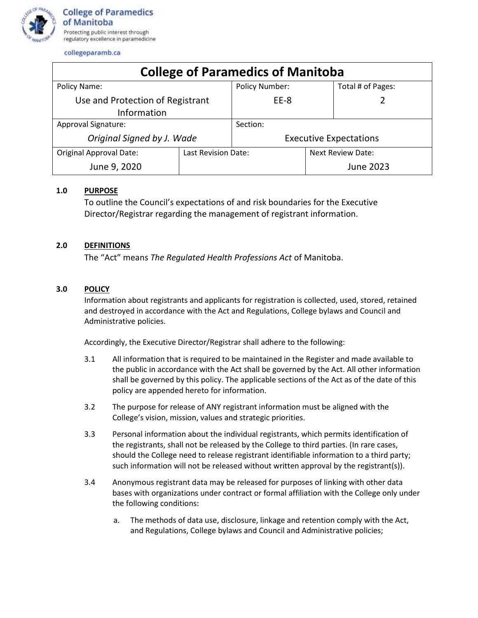

collegeparamb.ca

| <b>College of Paramedics of Manitoba</b>        |                     |                               |                          |                   |
|-------------------------------------------------|---------------------|-------------------------------|--------------------------|-------------------|
| Policy Name:                                    |                     | <b>Policy Number:</b>         |                          | Total # of Pages: |
| Use and Protection of Registrant<br>Information |                     | EE-8                          |                          |                   |
| Approval Signature:                             |                     | Section:                      |                          |                   |
| Original Signed by J. Wade                      |                     | <b>Executive Expectations</b> |                          |                   |
| <b>Original Approval Date:</b>                  | Last Revision Date: |                               | <b>Next Review Date:</b> |                   |
| June 9, 2020                                    |                     |                               |                          | June 2023         |

## **1.0 PURPOSE**

To outline the Council's expectations of and risk boundaries for the Executive Director/Registrar regarding the management of registrant information.

## **2.0 DEFINITIONS**

The "Act" means *The Regulated Health Professions Act* of Manitoba.

## **3.0 POLICY**

Information about registrants and applicants for registration is collected, used, stored, retained and destroyed in accordance with the Act and Regulations, College bylaws and Council and Administrative policies.

Accordingly, the Executive Director/Registrar shall adhere to the following:

- 3.1 All information that is required to be maintained in the Register and made available to the public in accordance with the Act shall be governed by the Act. All other information shall be governed by this policy. The applicable sections of the Act as of the date of this policy are appended hereto for information.
- 3.2 The purpose for release of ANY registrant information must be aligned with the College's vision, mission, values and strategic priorities.
- 3.3 Personal information about the individual registrants, which permits identification of the registrants, shall not be released by the College to third parties. (In rare cases, should the College need to release registrant identifiable information to a third party; such information will not be released without written approval by the registrant(s)).
- 3.4 Anonymous registrant data may be released for purposes of linking with other data bases with organizations under contract or formal affiliation with the College only under the following conditions:
	- a. The methods of data use, disclosure, linkage and retention comply with the Act, and Regulations, College bylaws and Council and Administrative policies;